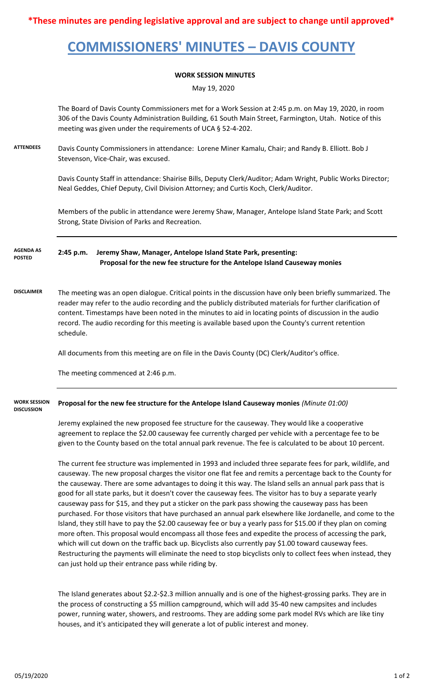**\*These minutes are pending legislative approval and are subject to change until approved\***

# **COMMISSIONERS' MINUTES – DAVIS COUNTY**

### **WORK SESSION MINUTES**

May 19, 2020

The Board of Davis County Commissioners met for a Work Session at 2:45 p.m. on May 19, 2020, in room 306 of the Davis County Administration Building, 61 South Main Street, Farmington, Utah. Notice of this meeting was given under the requirements of UCA § 52-4-202.

**ATTENDEES** Davis County Commissioners in attendance: Lorene Miner Kamalu, Chair; and Randy B. Elliott. Bob J Stevenson, Vice-Chair, was excused.

> Davis County Staff in attendance: Shairise Bills, Deputy Clerk/Auditor; Adam Wright, Public Works Director; Neal Geddes, Chief Deputy, Civil Division Attorney; and Curtis Koch, Clerk/Auditor.

Members of the public in attendance were Jeremy Shaw, Manager, Antelope Island State Park; and Scott Strong, State Division of Parks and Recreation.

### **2:45 p.m. Jeremy Shaw, Manager, Antelope Island State Park, presenting: Proposal for the new fee structure for the Antelope Island Causeway monies AGENDA AS POSTED**

**DISCLAIMER** The meeting was an open dialogue. Critical points in the discussion have only been briefly summarized. The reader may refer to the audio recording and the publicly distributed materials for further clarification of content. Timestamps have been noted in the minutes to aid in locating points of discussion in the audio record. The audio recording for this meeting is available based upon the County's current retention schedule.

All documents from this meeting are on file in the Davis County (DC) Clerk/Auditor's office.

The meeting commenced at 2:46 p.m.

#### **Proposal for the new fee structure for the Antelope Island Causeway monies** *(Minute 01:00)* **WORK SESSION DISCUSSION**

Jeremy explained the new proposed fee structure for the causeway. They would like a cooperative agreement to replace the \$2.00 causeway fee currently charged per vehicle with a percentage fee to be given to the County based on the total annual park revenue. The fee is calculated to be about 10 percent.

The current fee structure was implemented in 1993 and included three separate fees for park, wildlife, and causeway. The new proposal charges the visitor one flat fee and remits a percentage back to the County for the causeway. There are some advantages to doing it this way. The Island sells an annual park pass that is good for all state parks, but it doesn't cover the causeway fees. The visitor has to buy a separate yearly causeway pass for \$15, and they put a sticker on the park pass showing the causeway pass has been purchased. For those visitors that have purchased an annual park elsewhere like Jordanelle, and come to the Island, they still have to pay the \$2.00 causeway fee or buy a yearly pass for \$15.00 if they plan on coming more often. This proposal would encompass all those fees and expedite the process of accessing the park, which will cut down on the traffic back up. Bicyclists also currently pay \$1.00 toward causeway fees. Restructuring the payments will eliminate the need to stop bicyclists only to collect fees when instead, they can just hold up their entrance pass while riding by.

The Island generates about \$2.2-\$2.3 million annually and is one of the highest-grossing parks. They are in the process of constructing a \$5 million campground, which will add 35-40 new campsites and includes power, running water, showers, and restrooms. They are adding some park model RVs which are like tiny houses, and it's anticipated they will generate a lot of public interest and money.